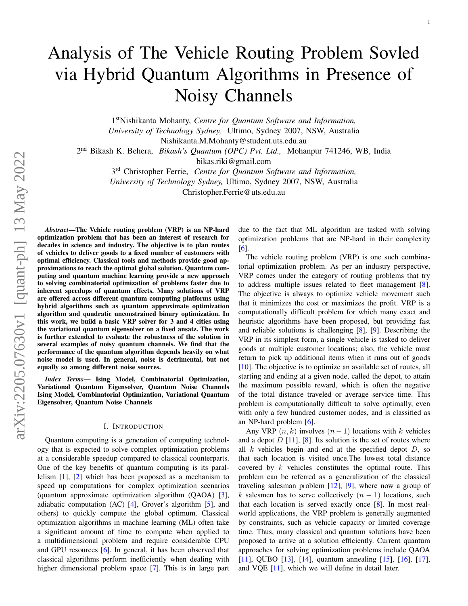# Analysis of The Vehicle Routing Problem Sovled via Hybrid Quantum Algorithms in Presence of Noisy Channels

1 stNishikanta Mohanty, *Centre for Quantum Software and Information, University of Technology Sydney,* Ultimo, Sydney 2007, NSW, Australia Nishikanta.M.Mohanty@student.uts.edu.au

2 nd Bikash K. Behera, *Bikash's Quantum (OPC) Pvt. Ltd.,* Mohanpur 741246, WB, India

bikas.riki@gmail.com

3 rd Christopher Ferrie, *Centre for Quantum Software and Information, University of Technology Sydney,* Ultimo, Sydney 2007, NSW, Australia Christopher.Ferrie@uts.edu.au

*Abstract*—The Vehicle routing problem (VRP) is an NP-hard optimization problem that has been an interest of research for decades in science and industry. The objective is to plan routes of vehicles to deliver goods to a fixed number of customers with optimal efficiency. Classical tools and methods provide good approximations to reach the optimal global solution. Quantum computing and quantum machine learning provide a new approach to solving combinatorial optimization of problems faster due to inherent speedups of quantum effects. Many solutions of VRP are offered across different quantum computing platforms using hybrid algorithms such as quantum approximate optimization algorithm and quadratic unconstrained binary optimization. In this work, we build a basic VRP solver for 3 and 4 cities using the variational quantum eigensolver on a fixed ansatz. The work is further extended to evaluate the robustness of the solution in several examples of noisy quantum channels. We find that the performance of the quantum algorithm depends heavily on what noise model is used. In general, noise is detrimental, but not equally so among different noise sources.

*Index Terms*— Ising Model, Combinatorial Optimization, Variational Quantum Eigensolver, Quantum Noise Channels Ising Model, Combinatorial Optimization, Variational Quantum Eigensolver, Quantum Noise Channels

## I. INTRODUCTION

Quantum computing is a generation of computing technology that is expected to solve complex optimization problems at a considerable speedup compared to classical counterparts. One of the key benefits of quantum computing is its parallelism [\[1\]](#page-8-0), [\[2\]](#page-8-1) which has been proposed as a mechanism to speed up computations for complex optimization scenarios (quantum approximate optimization algorithm (QAOA) [\[3\]](#page-8-2), adiabatic computation (AC) [\[4\]](#page-8-3), Grover's algorithm [\[5\]](#page-8-4), and others) to quickly compute the global optimum. Classical optimization algorithms in machine learning (ML) often take a significant amount of time to compute when applied to a multidimensional problem and require considerable CPU and GPU resources [\[6\]](#page-8-5). In general, it has been observed that classical algorithms perform inefficiently when dealing with higher dimensional problem space [\[7\]](#page-8-6). This is in large part due to the fact that ML algorithm are tasked with solving optimization problems that are NP-hard in their complexity [\[6\]](#page-8-5).

The vehicle routing problem (VRP) is one such combinatorial optimization problem. As per an industry perspective, VRP comes under the category of routing problems that try to address multiple issues related to fleet management [\[8\]](#page-8-7). The objective is always to optimize vehicle movement such that it minimizes the cost or maximizes the profit. VRP is a computationally difficult problem for which many exact and heuristic algorithms have been proposed, but providing fast and reliable solutions is challenging [\[8\]](#page-8-7), [\[9\]](#page-8-8). Describing the VRP in its simplest form, a single vehicle is tasked to deliver goods at multiple customer locations; also, the vehicle must return to pick up additional items when it runs out of goods [\[10\]](#page-8-9). The objective is to optimize an available set of routes, all starting and ending at a given node, called the depot, to attain the maximum possible reward, which is often the negative of the total distance traveled or average service time. This problem is computationally difficult to solve optimally, even with only a few hundred customer nodes, and is classified as an NP-hard problem [\[6\]](#page-8-5).

Any VRP  $(n, k)$  involves  $(n - 1)$  locations with k vehicles and a depot  $D$  [\[11\]](#page-8-10), [\[8\]](#page-8-7). Its solution is the set of routes where all  $k$  vehicles begin and end at the specified depot  $D$ , so that each location is visited once.The lowest total distance covered by  $k$  vehicles constitutes the optimal route. This problem can be referred as a generalization of the classical traveling salesman problem [\[12\]](#page-8-11), [\[9\]](#page-8-8), where now a group of k salesmen has to serve collectively  $(n - 1)$  locations, such that each location is served exactly once [\[8\]](#page-8-7). In most realworld applications, the VRP problem is generally augmented by constraints, such as vehicle capacity or limited coverage time. Thus, many classical and quantum solutions have been proposed to arrive at a solution efficiently. Current quantum approaches for solving optimization problems include QAOA [\[11\]](#page-8-10), QUBO [\[13\]](#page-8-12), [\[14\]](#page-8-13), quantum annealing [\[15\]](#page-8-14), [\[16\]](#page-8-15), [\[17\]](#page-8-16), and VQE [\[11\]](#page-8-10), which we will define in detail later.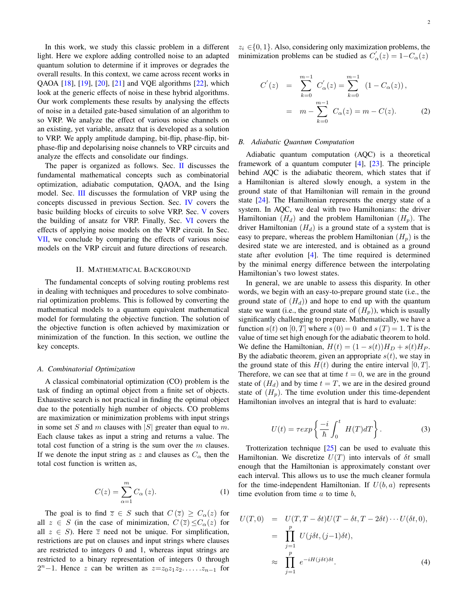In this work, we study this classic problem in a different light. Here we explore adding controlled noise to an adapted quantum solution to determine if it improves or degrades the overall results. In this context, we came across recent works in QAOA [\[18\]](#page-9-0), [\[19\]](#page-9-1), [\[20\]](#page-9-2), [\[21\]](#page-9-3) and VQE algorithms [\[22\]](#page-9-4), which look at the generic effects of noise in these hybrid algorithms. Our work complements these results by analysing the effects of noise in a detailed gate-based simulation of an algorithm to so VRP. We analyze the effect of various noise channels on an existing, yet variable, ansatz that is developed as a solution to VRP. We apply amplitude damping, bit-flip, phase-flip, bitphase-flip and depolarising noise channels to VRP circuits and analyze the effects and consolidate our findings.

The paper is organized as follows. Sec. [II](#page-1-0) discusses the fundamental mathematical concepts such as combinatorial optimization, adiabatic computation, QAOA, and the Ising model. Sec. [III](#page-3-0) discusses the formulation of VRP using the concepts discussed in previous Section. Sec. [IV](#page-4-0) covers the basic building blocks of circuits to solve VRP. Sec. [V](#page-4-1) covers the building of ansatz for VRP. Finally, Sec. [VI](#page-4-2) covers the effects of applying noise models on the VRP circuit. In Sec. [VII,](#page-7-0) we conclude by comparing the effects of various noise models on the VRP circuit and future directions of research.

# II. MATHEMATICAL BACKGROUND

<span id="page-1-0"></span>The fundamental concepts of solving routing problems rest in dealing with techniques and procedures to solve combinatorial optimization problems. This is followed by converting the mathematical models to a quantum equivalent mathematical model for formulating the objective function. The solution of the objective function is often achieved by maximization or minimization of the function. In this section, we outline the key concepts.

### *A. Combinatorial Optimization*

A classical combinatorial optimization (CO) problem is the task of finding an optimal object from a finite set of objects. Exhaustive search is not practical in finding the optimal object due to the potentially high number of objects. CO problems are maximization or minimization problems with input strings in some set S and m clauses with  $|S|$  greater than equal to m. Each clause takes as input a string and returns a value. The total cost function of a string is the sum over the  $m$  clauses. If we denote the input string as z and clauses as  $C_{\alpha}$  then the total cost function is written as,

$$
C(z) = \sum_{\alpha=1}^{m} C_{\alpha}(z). \tag{1}
$$

The goal is to find  $\overline{z} \in S$  such that  $C(\overline{z}) \geq C_{\alpha}(z)$  for all  $z \in S$  (in the case of minimization,  $C(\overline{z}) \leq C_{\alpha}(z)$  for all  $z \in S$ ). Here  $\overline{z}$  need not be unique. For simplification, restrictions are put on clauses and input strings where clauses are restricted to integers 0 and 1, whereas input strings are restricted to a binary representation of integers 0 through  $2<sup>n</sup>-1$ . Hence z can be written as  $z=z_0z_1z_2 \ldots z_{n-1}$  for  $z_i \in \{0, 1\}$ . Also, considering only maximization problems, the minimization problems can be studied as  $C'_{\alpha}(z) = 1 - C_{\alpha}(z)$ 

$$
C'(z) = \sum_{k=0}^{m-1} C'_{\alpha}(z) = \sum_{k=0}^{m-1} (1 - C_{\alpha}(z)),
$$
  
=  $m - \sum_{k=0}^{m-1} C_{\alpha}(z) = m - C(z).$  (2)

# *B. Adiabatic Quantum Computation*

Adiabatic quantum computation (AQC) is a theoretical framework of a quantum computer [\[4\]](#page-8-3), [\[23\]](#page-9-5). The principle behind AQC is the adiabatic theorem, which states that if a Hamiltonian is altered slowly enough, a system in the ground state of that Hamiltonian will remain in the ground state [\[24\]](#page-9-6). The Hamiltonian represents the energy state of a system. In AQC, we deal with two Hamiltonians: the driver Hamiltonian  $(H_d)$  and the problem Hamiltonian  $(H_p)$ . The driver Hamiltonian  $(H_d)$  is a ground state of a system that is easy to prepare, whereas the problem Hamiltonian  $(H_p)$  is the desired state we are interested, and is obtained as a ground state after evolution [\[4\]](#page-8-3). The time required is determined by the minimal energy difference between the interpolating Hamiltonian's two lowest states.

In general, we are unable to assess this disparity. In other words, we begin with an easy-to-prepare ground state (i.e., the ground state of  $(H_d)$  and hope to end up with the quantum state we want (i.e., the ground state of  $(H_p)$ ), which is usually significantly challenging to prepare. Mathematically, we have a function  $s(t)$  on  $[0, T]$  where  $s(0) = 0$  and  $s(T) = 1$ . T is the value of time set high enough for the adiabatic theorem to hold. We define the Hamiltonian,  $H(t) = (1 - s(t))H_D + s(t)H_P$ . By the adiabatic theorem, given an appropriate  $s(t)$ , we stay in the ground state of this  $H(t)$  during the entire interval  $[0, T]$ . Therefore, we can see that at time  $t = 0$ , we are in the ground state of  $(H_d)$  and by time  $t = T$ , we are in the desired ground state of  $(H_n)$ . The time evolution under this time-dependent Hamiltonian involves an integral that is hard to evaluate:

$$
U(t) = \tau \exp\left\{\frac{-i}{\hbar} \int_0^t H(T)dT\right\}.
$$
 (3)

Trotterization technique [\[25\]](#page-9-7) can be used to evaluate this Hamiltonian. We discretize  $U(T)$  into intervals of  $\delta t$  small enough that the Hamiltonian is approximately constant over each interval. This allows us to use the much cleaner formula for the time-independent Hamiltonian. If  $U(b, a)$  represents time evolution from time  $a$  to time  $b$ ,

$$
U(T,0) = U(T,T - \delta t)U(T - \delta t, T - 2\delta t) \cdots U(\delta t, 0),
$$
  
\n
$$
= \prod_{j=1}^{p} U(j\delta t, (j-1)\delta t),
$$
  
\n
$$
\approx \prod_{j=1}^{p} e^{-iH(j\delta t)\delta t}.
$$
 (4)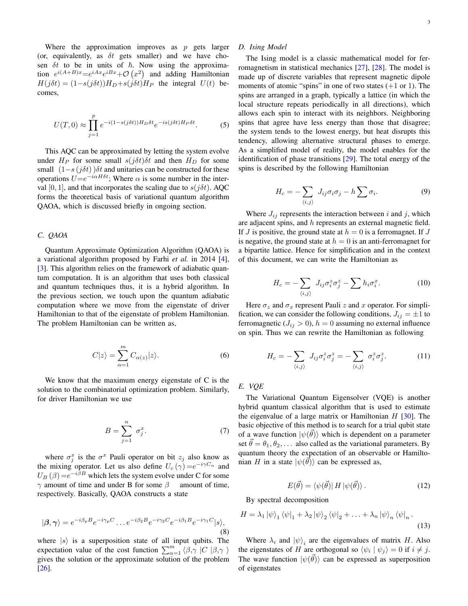Where the approximation improves as  $p$  gets larger (or, equivalently, as  $\delta t$  gets smaller) and we have chosen  $\delta t$  to be in units of  $\hbar$ . Now using the approximation  $e^{i(A+B)x} = e^{iAx}e^{iBx} + \mathcal{O}(x^2)$  and adding Hamiltonian  $H(j\delta t) = (1 - s(j\delta t))H_D + s(j\delta t)H_P$  the integral  $U(t)$  becomes,

$$
U(T,0) \approx \prod_{j=1}^{p} e^{-i(1-s(j\delta t))H_D \delta t} e^{-is(j\delta t)H_P \delta t}.
$$
 (5)

This AQC can be approximated by letting the system evolve under  $H_P$  for some small  $s(j\delta t)\delta t$  and then  $H_D$  for some small  $(1-s(j\delta t))\delta t$  and unitaries can be constructed for these operations  $U=e^{-i\alpha H\delta t}$ ; Where  $\alpha$  is some number in the interval [0, 1], and that incorporates the scaling due to  $s(j\delta t)$ . AQC forms the theoretical basis of variational quantum algorithm QAOA, which is discussed briefly in ongoing section.

## *C. QAOA*

Quantum Approximate Optimization Algorithm (QAOA) is a variational algorithm proposed by Farhi *et al.* in 2014 [\[4\]](#page-8-3), [\[3\]](#page-8-2). This algorithm relies on the framework of adiabatic quantum computation. It is an algorithm that uses both classical and quantum techniques thus, it is a hybrid algorithm. In the previous section, we touch upon the quantum adiabatic computation where we move from the eigenstate of driver Hamiltonian to that of the eigenstate of problem Hamiltonian. The problem Hamiltonian can be written as,

$$
C|z\rangle = \sum_{\alpha=1}^{m} C_{\alpha(z)}|z\rangle.
$$
 (6)

We know that the maximum energy eigenstate of C is the solution to the combinatorial optimization problem. Similarly, for driver Hamiltonian we use

$$
B = \sum_{j=1}^{n} \sigma_j^x.
$$
 (7)

where  $\sigma_j^x$  is the  $\sigma^x$  Pauli operator on bit  $z_j$  also know as the mixing operator. Let us also define  $U_c(\gamma) = e^{-i\gamma C_\alpha}$  and  $U_B(\beta) = e^{-i\beta B}$  which lets the system evolve under C for some  $\gamma$  amount of time and under B for some  $\beta$  amount of time, respectively. Basically, QAOA constructs a state

$$
|\beta,\gamma\rangle = e^{-i\beta_p B} e^{-i\gamma_p C} \dots e^{-i\beta_2 B} e^{-i\gamma_2 C} e^{-i\beta_1 B} e^{-i\gamma_1 C} |s\rangle,
$$
\n(8)

where  $|s\rangle$  is a superposition state of all input qubits. The expectation value of the cost function  $\sum_{\alpha=1}^{m} \langle \beta, \gamma | C | \beta, \gamma \rangle$ gives the solution or the approximate solution of the problem [\[26\]](#page-9-8).

# *D. Ising Model*

The Ising model is a classic mathematical model for ferromagnetism in statistical mechanics [\[27\]](#page-9-9), [\[28\]](#page-9-10). The model is made up of discrete variables that represent magnetic dipole moments of atomic "spins" in one of two states  $(+1 \text{ or } 1)$ . The spins are arranged in a graph, typically a lattice (in which the local structure repeats periodically in all directions), which allows each spin to interact with its neighbors. Neighboring spins that agree have less energy than those that disagree; the system tends to the lowest energy, but heat disrupts this tendency, allowing alternative structural phases to emerge. As a simplified model of reality, the model enables for the identification of phase transitions [\[29\]](#page-9-11). The total energy of the spins is described by the following Hamiltonian

$$
H_c = -\sum_{\langle i,j\rangle} J_{ij}\sigma_i\sigma_j - h\sum \sigma_i.
$$
 (9)

Where  $J_{ij}$  represents the interaction between i and j, which are adjacent spins, and h represents an external magnetic field. If J is positive, the ground state at  $h = 0$  is a ferromagnet. If J is negative, the ground state at  $h = 0$  is an anti-ferromagnet for a bipartite lattice. Hence for simplification and in the context of this document, we can write the Hamiltonian as

$$
H_c = -\sum_{\langle i,j\rangle} J_{ij}\sigma_i^z \sigma_j^z - \sum h_i \sigma_i^x.
$$
 (10)

Here  $\sigma_z$  and  $\sigma_x$  represent Pauli z and x operator. For simplification, we can consider the following conditions,  $J_{ij} = \pm 1$  to ferromagnetic ( $J_{ij} > 0$ ),  $h = 0$  assuming no external influence on spin. Thus we can rewrite the Hamiltonian as following

$$
H_c = -\sum_{\langle i,j\rangle} J_{ij}\sigma_i^z \sigma_j^z = -\sum_{\langle i,j\rangle} \sigma_i^z \sigma_j^z.
$$
 (11)

# *E. VQE*

The Variational Quantum Eigensolver (VQE) is another hybrid quantum classical algorithm that is used to estimate the eigenvalue of a large matrix or Hamiltonian  $H$  [\[30\]](#page-9-12). The basic objective of this method is to search for a trial qubit state of a wave function  $|\psi(\vec{\theta})\rangle$  which is dependent on a parameter set  $\vec{\theta} = \theta_1, \theta_2, \dots$  also called as the variational parameters. By quantum theory the expectation of an observable or Hamiltonian H in a state  $|\psi(\vec{\theta})\rangle$  can be expressed as,

<span id="page-2-0"></span>
$$
E(\vec{\theta}) = \langle \psi(\vec{\theta}) | H | \psi(\vec{\theta}) \rangle.
$$
 (12)

By spectral decomposition

$$
H = \lambda_1 |\psi\rangle_1 \langle \psi|_1 + \lambda_2 |\psi\rangle_2 \langle \psi|_2 + \ldots + \lambda_n |\psi\rangle_n \langle \psi|_n.
$$
\n(13)

Where  $\lambda_i$  and  $|\psi\rangle_i$  are the eigenvalues of matrix H. Also the eigenstates of H are orthogonal so  $\langle \psi_i | \psi_j \rangle = 0$  if  $i \neq j$ . The wave function  $|\psi(\vec{\theta})\rangle$  can be expressed as superposition of eigenstates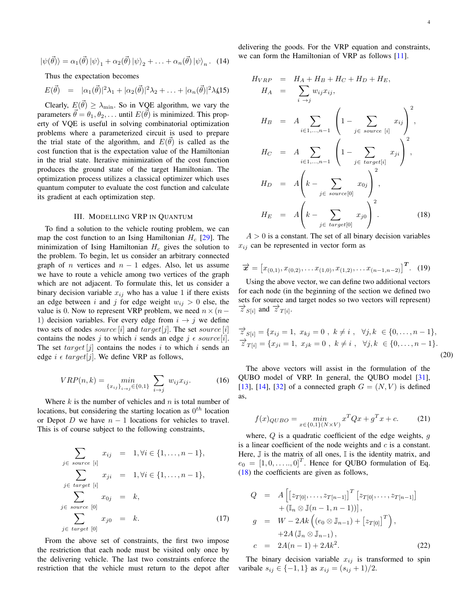$$
|\psi(\vec{\theta})\rangle = \alpha_1(\vec{\theta}) |\psi\rangle_1 + \alpha_2(\vec{\theta}) |\psi\rangle_2 + \ldots + \alpha_n(\vec{\theta}) |\psi\rangle_n.
$$
 (14)

Thus the expectation becomes

$$
E(\vec{\theta}) = |\alpha_1(\vec{\theta})|^2 \lambda_1 + |\alpha_2(\vec{\theta})|^2 \lambda_2 + \ldots + |\alpha_n(\vec{\theta})|^2 \lambda_k 15)
$$

Clearly,  $E(\vec{\theta}) \geq \lambda_{\min}$ . So in VQE algorithm, we vary the parameters  $\vec{\theta} = \theta_1, \theta_2, \dots$  until  $E(\vec{\theta})$  is minimized. This property of VQE is useful in solving combinatorial optimization problems where a parameterized circuit is used to prepare the trial state of the algorithm, and  $E(\vec{\theta})$  is called as the cost function that is the expectation value of the Hamiltonian in the trial state. Iterative minimization of the cost function produces the ground state of the target Hamiltonian. The optimization process utilizes a classical optimizer which uses quantum computer to evaluate the cost function and calculate its gradient at each optimization step.

# III. MODELLING VRP IN QUANTUM

<span id="page-3-0"></span>To find a solution to the vehicle routing problem, we can map the cost function to an Ising Hamiltonian  $H_c$  [\[29\]](#page-9-11). The minimization of Ising Hamiltonian  $H_c$  gives the solution to the problem. To begin, let us consider an arbitrary connected graph of *n* vertices and  $n - 1$  edges. Also, let us assume we have to route a vehicle among two vertices of the graph which are not adjacent. To formulate this, let us consider a binary decision variable  $x_{ij}$  who has a value 1 if there exists an edge between i and j for edge weight  $w_{ij} > 0$  else, the value is 0. Now to represent VRP problem, we need  $n \times (n-$ 1) decision variables. For every edge from  $i \rightarrow j$  we define two sets of nodes *source* [i] and  $target[j]$ . The set *source* [i] contains the nodes j to which i sends an edge j  $\epsilon$  source[i]. The set  $target[j]$  contains the nodes i to which i sends an edge  $i \in target[j]$ . We define VRP as follows,

$$
VRP(n,k) = \min_{\{x_{ij}\}_{i \to j} \in \{0,1\}} \sum_{i \to j} w_{ij} x_{ij}.
$$
 (16)

Where  $k$  is the number of vehicles and  $n$  is total number of locations, but considering the starting location as  $0^{th}$  location or Depot D we have  $n - 1$  locations for vehicles to travel. This is of course subject to the following constraints,

$$
\sum_{j \in source \ [i]} x_{ij} = 1, \forall i \in \{1, \dots, n-1\},
$$
\n
$$
\sum_{j \in target \ [i]} x_{ji} = 1, \forall i \in \{1, \dots, n-1\},
$$
\n
$$
\sum_{j \in source \ [0]} x_{0j} = k,
$$
\n
$$
\sum_{j \in target \ [0]} x_{j0} = k.
$$
\n(17)

From the above set of constraints, the first two impose the restriction that each node must be visited only once by the delivering vehicle. The last two constraints enforce the restriction that the vehicle must return to the depot after delivering the goods. For the VRP equation and constraints, we can form the Hamiltonian of VRP as follows [\[11\]](#page-8-10).

<span id="page-3-1"></span>
$$
H_{VRP} = H_A + H_B + H_C + H_D + H_E,
$$
  
\n
$$
H_A = \sum_{i \in 1, \dots, n-1} w_{ij} x_{ij},
$$
  
\n
$$
H_B = A \sum_{i \in 1, \dots, n-1} \left( 1 - \sum_{j \in source [i]} x_{ij} \right)^2,
$$
  
\n
$$
H_C = A \sum_{i \in 1, \dots, n-1} \left( 1 - \sum_{j \in target[i]} x_{ji} \right)^2,
$$
  
\n
$$
H_D = A \left( k - \sum_{j \in source[0]} x_{0j} \right)^2,
$$
  
\n
$$
H_E = A \left( k - \sum_{j \in target[0]} x_{j0} \right)^2.
$$
\n(18)

 $A > 0$  is a constant. The set of all binary decision variables  $x_{ij}$  can be represented in vector form as

$$
\overrightarrow{x} = [x_{(0,1)}, x_{(0,2)}, \dots x_{(1,0)}, x_{(1,2)}, \dots x_{(n-1,n-2)}]^T. (19)
$$

Using the above vector, we can define two additional vectors for each node (in the beginning of the section we defined two sets for source and target nodes so two vectors will represent)  $\overrightarrow{z}_{S[i]}$  and  $\overrightarrow{z}_{T[i]}$ .

$$
\overrightarrow{z}_{S[i]} = \{x_{ij} = 1, x_{kj} = 0, k \neq i, \forall j, k \in \{0, ..., n-1\},
$$
  

$$
\overrightarrow{z}_{T[i]} = \{x_{ji} = 1, x_{jk} = 0, k \neq i, \forall j, k \in \{0, ..., n-1\}.
$$
  
(20)

The above vectors will assist in the formulation of the QUBO model of VRP. In general, the QUBO model [\[31\]](#page-9-13), [\[13\]](#page-8-12), [\[14\]](#page-8-13), [\[32\]](#page-9-14) of a connected graph  $G = (N, V)$  is defined as,

<span id="page-3-2"></span>
$$
f(x)_{QUBO} = \min_{x \in \{0,1\}(N \times V)} x^T Q x + g^T x + c.
$$
 (21)

where,  $Q$  is a quadratic coefficient of the edge weights,  $q$ is a linear coefficient of the node weights and  $c$  is a constant. Here,  $\mathbb J$  is the matrix of all ones,  $\mathbb I$  is the identity matrix, and  $e_0 = [1, 0, \dots, 0]^T$ . Hence for QUBO formulation of Eq. [\(18\)](#page-3-1) the coefficients are given as follows,

$$
Q = A \left[ \left[ z_{T[0]}, \ldots, z_{T[n-1]} \right]^T \left[ z_{T[0]}, \ldots, z_{T[n-1]} \right] + \left( \mathbb{I}_n \otimes \mathbb{J}(n-1, n-1) \right) \right],
$$
  
\n
$$
g = W - 2Ak \left( (e_0 \otimes \mathbb{J}_{n-1}) + \left[ z_{T[0]} \right]^T \right),
$$
  
\n
$$
+ 2A \left( \mathbb{J}_n \otimes \mathbb{J}_{n-1} \right),
$$
  
\n
$$
c = 2A(n-1) + 2Ak^2.
$$
 (22)

The binary decision variable  $x_{ij}$  is transformed to spin varibale  $s_{ij} \in \{-1, 1\}$  as  $x_{ij} = (s_{ij} + 1)/2$ .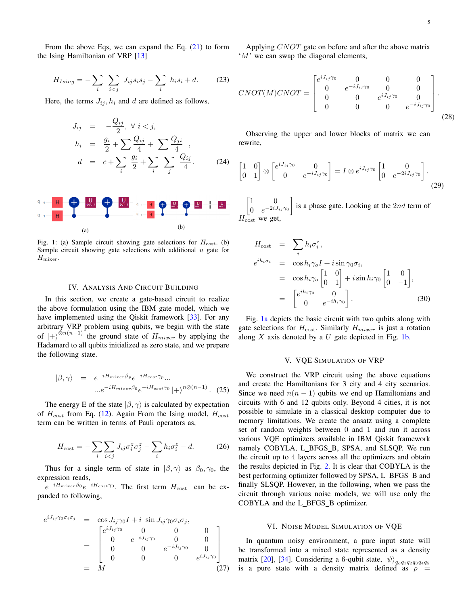From the above Eqs, we can expand the Eq.  $(21)$  to form the Ising Hamiltonian of VRP [\[13\]](#page-8-12)

$$
H_{Ising} = -\sum_{i} \sum_{i < j} J_{ij} s_i s_j - \sum_{i} h_i s_i + d. \tag{23}
$$

Here, the terms  $J_{ij}$ ,  $h_i$  and d are defined as follows,

$$
J_{ij} = -\frac{Q_{ij}}{2}, \forall i < j,
$$
  
\n
$$
h_i = \frac{g_i}{2} + \sum \frac{Q_{ij}}{4} + \sum \frac{Q_{ji}}{4},
$$
  
\n
$$
d = c + \sum_i \frac{g_i}{2} + \sum_i \sum_j \frac{Q_{ij}}{4}.
$$
 (24)

<span id="page-4-3"></span>

Fig. 1: (a) Sample circuit showing gate selections for  $H_{\text{cost}}$ . (b) Sample circuit showing gate selections with additional  $u$  gate for  $H_{\text{mixer}}$ .

# IV. ANALYSIS AND CIRCUIT BUILDING

<span id="page-4-0"></span>In this section, we create a gate-based circuit to realize the above formulation using the IBM gate model, which we have implemented using the Qiskit framework [\[33\]](#page-9-15). For any arbitrary VRP problem using qubits, we begin with the state of  $|+\rangle^{\otimes n(n-1)}$  the ground state of  $H_{mixer}$  by applying the Hadamard to all qubits initialized as zero state, and we prepare the following state.

$$
|\beta, \gamma\rangle = e^{-iH_{mizer}\beta_p}e^{-iH_{cost}\gamma_p}...
$$

$$
...e^{-iH_{mizer}\beta_0}e^{-iH_{cost}\gamma_0}|+\rangle^{n\otimes(n-1)}.
$$
 (25)

The energy E of the state  $|\beta, \gamma\rangle$  is calculated by expectation of  $H_{cost}$  from Eq. [\(12\)](#page-2-0). Again From the Ising model,  $H_{cost}$ term can be written in terms of Pauli operators as,

$$
H_{\text{cost}} = -\sum_{i} \sum_{i < j} J_{ij} \sigma_i^z \sigma_j^z - \sum_{i} h_i \sigma_i^z - d. \tag{26}
$$

Thus for a single term of state in  $|\beta, \gamma\rangle$  as  $\beta_0, \gamma_0$ , the expression reads,

 $e^{-iH_{mizer}\beta_0}e^{-iH_{cost}\gamma_0}$ . The first term  $H_{\text{cost}}$  can be expanded to following,

$$
e^{iJ_{ij}\gamma_0\sigma_i\sigma_j} = \cos J_{ij}\gamma_0 I + i \sin J_{ij}\gamma_0\sigma_i\sigma_j,
$$
  
\n
$$
= \begin{bmatrix} e^{iJ_{ij}\gamma_0} & 0 & 0 & 0 \\ 0 & e^{-iJ_{ij}\gamma_0} & 0 & 0 \\ 0 & 0 & e^{-iJ_{ij}\gamma_0} & 0 \\ 0 & 0 & 0 & e^{iJ_{ij}\gamma_0} \end{bmatrix}
$$
  
\n
$$
= M
$$
 (27)

Applying CNOT gate on before and after the above matrix 'M' we can swap the diagonal elements,

$$
CNOT(M)CNOT = \begin{bmatrix} e^{iJ_{ij}\gamma_0} & 0 & 0 & 0 \\ 0 & e^{-iJ_{ij}\gamma_0} & 0 & 0 \\ 0 & 0 & e^{iJ_{ij}\gamma_0} & 0 \\ 0 & 0 & 0 & e^{-iJ_{ij}\gamma_0} \end{bmatrix}.
$$
\n(28)

Observing the upper and lower blocks of matrix we can rewrite,

$$
\begin{bmatrix} 1 & 0 \\ 0 & 1 \end{bmatrix} \otimes \begin{bmatrix} e^{iJ_{ij}\gamma_0} & 0 \\ 0 & e^{-iJ_{ij}\gamma_0} \end{bmatrix} = I \otimes e^{iJ_{ij}\gamma_0} \begin{bmatrix} 1 & 0 \\ 0 & e^{-2iJ_{ij}\gamma_0} \end{bmatrix}.
$$
\n(29)

 $\begin{bmatrix} 1 & 0 \\ 0 & 0 \\ 0 & 0 \\ 0 & 0 \\ 0 & 0 & 0 \\ 0 & 0 & 0 \\ 0 & 0 & 0 \\ 0 & 0 & 0 & 0 \\ 0 & 0 & 0 & 0 \\ 0 & 0 & 0 & 0 \\ 0 & 0 & 0 & 0 & 0 \\ 0 & 0 & 0 & 0 & 0 \\ 0 & 0 & 0 & 0 & 0 & 0 \\ 0 & 0 & 0 & 0 & 0 & 0 \\ 0 & 0 & 0 & 0 & 0 & 0 & 0 \\ 0 & 0 & 0 & 0 & 0 & 0 & 0 \\ 0 & 0 & 0 & 0 & 0 & 0 &$ 0  $e^{-2iJ_{ij}\gamma_0}$ is a phase gate. Looking at the  $2nd$  term of  $H_{\text{cost}}$  we get,

$$
H_{\text{cost}} = \sum_{i} h_{i} \sigma_{i}^{z},
$$
  
\n
$$
e^{ih_{i} \sigma_{i}} = \cos h_{i} \gamma_{o} I + i \sin \gamma_{0} \sigma_{i},
$$
  
\n
$$
= \cos h_{i} \gamma_{o} \begin{bmatrix} 1 & 0 \\ 0 & 1 \end{bmatrix} + i \sin h_{i} \gamma_{0} \begin{bmatrix} 1 & 0 \\ 0 & -1 \end{bmatrix},
$$
  
\n
$$
= \begin{bmatrix} e^{ih_{i} \gamma_{0}} & 0 \\ 0 & e^{-ih_{i} \gamma_{0}} \end{bmatrix}.
$$
 (30)

Fig. [1a](#page-4-3) depicts the basic circuit with two qubits along with gate selections for  $H_{\text{cost}}$ . Similarly  $H_{\text{mixer}}$  is just a rotation along  $X$  axis denoted by a  $U$  gate depicted in Fig. [1b.](#page-4-3)

#### V. VQE SIMULATION OF VRP

<span id="page-4-1"></span>We construct the VRP circuit using the above equations and create the Hamiltonians for 3 city and 4 city scenarios. Since we need  $n(n-1)$  qubits we end up Hamiltonians and circuits with 6 and 12 qubits only. Beyond 4 cities, it is not possible to simulate in a classical desktop computer due to memory limitations. We create the ansatz using a complete set of random weights between 0 and 1 and run it across various VQE optimizers available in IBM Qiskit framework namely COBYLA, L BFGS B, SPSA, and SLSQP. We run the circuit up to 4 layers across all the optimizers and obtain the results depicted in Fig. [2.](#page-5-0) It is clear that COBYLA is the best performing optimizer followed by SPSA, L\_BFGS\_B and finally SLSQP. However, in the following, when we pass the circuit through various noise models, we will use only the COBYLA and the L\_BFGS\_B optimizer.

### VI. NOISE MODEL SIMULATION OF VQE

<span id="page-4-2"></span>In quantum noisy environment, a pure input state will be transformed into a mixed state represented as a density matrix [\[20\]](#page-9-2), [\[34\]](#page-9-16). Considering a 6-qubit state,  $\ket{\psi}_{q_o q_1 q_2 q_3 q_4 q_5}$ is a pure state with a density matrix defined as  $\rho =$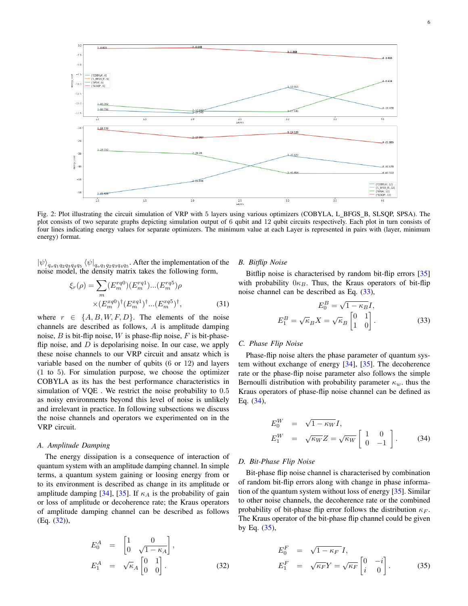<span id="page-5-0"></span>

Fig. 2: Plot illustrating the circuit simulation of VRP with 5 layers using various optimizers (COBYLA, L\_BFGS\_B, SLSQP, SPSA). The plot consists of two separate graphs depicting simulation output of 6 qubit and 12 qubit circuits respectively. Each plot in turn consists of four lines indicating energy values for separate optimizers. The minimum value at each Layer is represented in pairs with (layer, minimum energy) format.

 $\ket{\psi}_{q_0q_1q_2q_3q_4q_5}$   $\bra{\psi}_{q_0q_1q_2q_3q_4q_5}$ . After the implementation of the noise model, the density matrix takes the following form,

$$
\xi_r(\rho) = \sum_m (E_m^{rq0})(E_m^{rq1})...(E_m^{rq5})\rho
$$
  
× $(E_m^{rq0})^{\dagger} (E_m^{rq1})^{\dagger}...(E_m^{rq5})^{\dagger}$ , (31)

where  $r \in \{A, B, W, F, D\}$ . The elements of the noise channels are described as follows, A is amplitude damping noise,  $B$  is bit-flip noise,  $W$  is phase-flip noise,  $F$  is bit-phaseflip noise, and  $D$  is depolarising noise. In our case, we apply these noise channels to our VRP circuit and ansatz which is variable based on the number of qubits (6 or 12) and layers (1 to 5). For simulation purpose, we choose the optimizer COBYLA as its has the best performance characteristics in simulation of VQE . We restrict the noise probability to 0.5 as noisy environments beyond this level of noise is unlikely and irrelevant in practice. In following subsections we discuss the noise channels and operators we experimented on in the VRP circuit.

## *A. Amplitude Damping*

The energy dissipation is a consequence of interaction of quantum system with an amplitude damping channel. In simple terms, a quantum system gaining or loosing energy from or to its environment is described as change in its amplitude or amplitude damping [\[34\]](#page-9-16), [\[35\]](#page-9-17). If  $\kappa_A$  is the probability of gain or loss of amplitude or decoherence rate; the Kraus operators of amplitude damping channel can be described as follows (Eq. [\(32\)](#page-5-1)),

<span id="page-5-1"></span>
$$
E_0^A = \begin{bmatrix} 1 & 0 \\ 0 & \sqrt{1 - \kappa_A} \end{bmatrix},
$$
  
\n
$$
E_1^A = \sqrt{\kappa_A} \begin{bmatrix} 0 & 1 \\ 0 & 0 \end{bmatrix}.
$$
 (32)

#### *B. Bitflip Noise*

Bitflip noise is characterised by random bit-flip errors [\[35\]](#page-9-17) with probability  $0\kappa_B$ . Thus, the Kraus operators of bit-flip noise channel can be described as Eq. [\(33\)](#page-5-2),

<span id="page-5-2"></span>
$$
E_0^B = \sqrt{1 - \kappa_B} I,
$$
  

$$
E_1^B = \sqrt{\kappa_B} X = \sqrt{\kappa_B} \begin{bmatrix} 0 & 1 \\ 1 & 0 \end{bmatrix}.
$$
 (33)

# *C. Phase Flip Noise*

Phase-flip noise alters the phase parameter of quantum system without exchange of energy [\[34\]](#page-9-16), [\[35\]](#page-9-17). The decoherence rate or the phase-flip noise parameter also follows the simple Bernoulli distribution with probability parameter  $\kappa_w$ . thus the Kraus operators of phase-flip noise channel can be defined as Eq. [\(34\)](#page-5-3),

<span id="page-5-3"></span>
$$
E_0^W = \sqrt{1 - \kappa_W} I,
$$
  
\n
$$
E_1^W = \sqrt{\kappa_W} Z = \sqrt{\kappa_W} \begin{bmatrix} 1 & 0 \\ 0 & -1 \end{bmatrix}.
$$
 (34)

# *D. Bit-Phase Flip Noise*

Bit-phase flip noise channel is characterised by combination of random bit-flip errors along with change in phase information of the quantum system without loss of energy [\[35\]](#page-9-17). Similar to other noise channels, the decoherence rate or the combined probability of bit-phase flip error follows the distribution  $\kappa_F$ . The Kraus operator of the bit-phase flip channel could be given by Eq.  $(35)$ ,

<span id="page-5-4"></span>
$$
E_0^F = \sqrt{1 - \kappa_F} I,
$$
  
\n
$$
E_1^F = \sqrt{\kappa_F} Y = \sqrt{\kappa_F} \begin{bmatrix} 0 & -i \\ i & 0 \end{bmatrix}.
$$
 (35)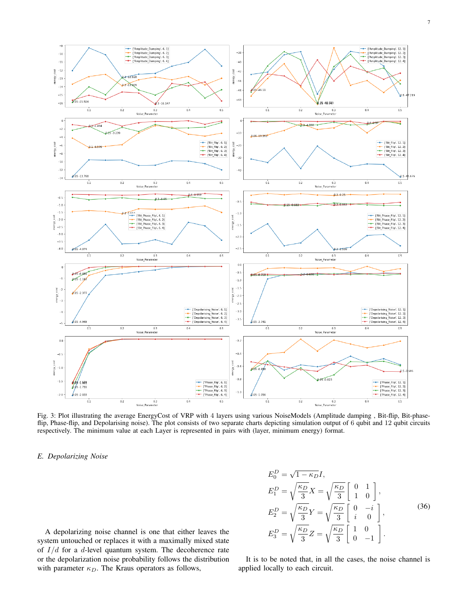<span id="page-6-0"></span>

Fig. 3: Plot illustrating the average EnergyCost of VRP with 4 layers using various NoiseModels (Amplitude damping , Bit-flip, Bit-phaseflip, Phase-flip, and Depolarising noise). The plot consists of two separate charts depicting simulation output of 6 qubit and 12 qubit circuits respectively. The minimum value at each Layer is represented in pairs with (layer, minimum energy) format.

#### *E. Depolarizing Noise*

A depolarizing noise channel is one that either leaves the system untouched or replaces it with a maximally mixed state of  $I/d$  for a d-level quantum system. The decoherence rate or the depolarization noise probability follows the distribution with parameter  $\kappa_D$ . The Kraus operators as follows,

$$
E_0^D = \sqrt{1 - \kappa_D} I,
$$
  
\n
$$
E_1^D = \sqrt{\frac{\kappa_D}{3}} X = \sqrt{\frac{\kappa_D}{3}} \begin{bmatrix} 0 & 1 \\ 1 & 0 \end{bmatrix},
$$
  
\n
$$
E_2^D = \sqrt{\frac{\kappa_D}{3}} Y = \sqrt{\frac{\kappa_D}{3}} \begin{bmatrix} 0 & -i \\ i & 0 \end{bmatrix},
$$
  
\n
$$
E_3^D = \sqrt{\frac{\kappa_D}{3}} Z = \sqrt{\frac{\kappa_D}{3}} \begin{bmatrix} 1 & 0 \\ 0 & -1 \end{bmatrix}.
$$
\n(36)

It is to be noted that, in all the cases, the noise channel is applied locally to each circuit.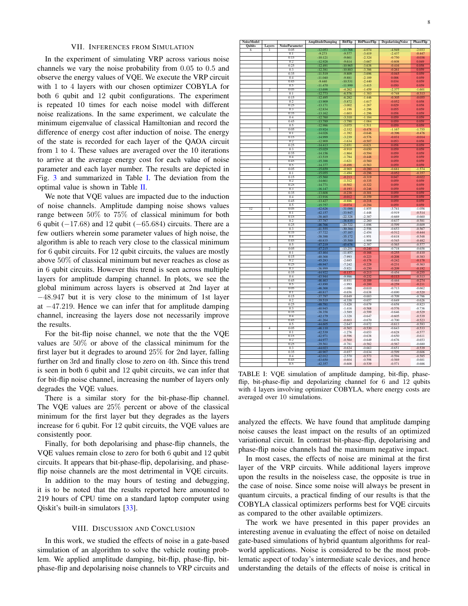# VII. INFERENCES FROM SIMULATION

<span id="page-7-0"></span>In the experiment of simulating VRP across various noise channels we vary the noise probability from 0.05 to 0.5 and observe the energy values of VQE. We execute the VRP circuit with 1 to 4 layers with our chosen optimizer COBYLA for both 6 qubit and 12 qubit configurations. The experiment is repeated 10 times for each noise model with different noise realizations. In the same experiment, we calculate the minimum eigenvalue of classical Hamiltonian and record the difference of energy cost after induction of noise. The energy of the state is recorded for each layer of the QAOA circuit from 1 to 4. These values are averaged over the 10 iterations to arrive at the average energy cost for each value of noise parameter and each layer number. The results are depicted in Fig. [3](#page-6-0) and summarized in Table [I.](#page-7-1) The deviation from the optimal value is shown in Table [II.](#page-8-17)

We note that VQE values are impacted due to the induction of noise channels. Amplitude damping noise shows values range between 50% to 75% of classical minimum for both 6 qubit ( $-17.68$ ) and 12 qubit ( $-65.684$ ) circuits. There are a few outliers wherein some parameter values of high noise, the algorithm is able to reach very close to the classical minimum for 6 qubit circuits. For 12 qubit circuits, the values are mostly above 50% of classical minimum but never reaches as close as in 6 qubit circuits. However this trend is seen across multiple layers for amplitude damping channel. In plots, we see the global minimum across layers is observed at 2nd layer at −48.947 but it is very close to the minimum of 1st layer at −47.219. Hence we can infer that for amplitude damping channel, increasing the layers dose not necessarily improve the results.

For the bit-flip noise channel, we note that the the VQE values are 50% or above of the classical minimum for the first layer but it degrades to around 25% for 2nd layer, falling further on 3rd and finally close to zero on 4th. Since this trend is seen in both 6 qubit and 12 qubit circuits, we can infer that for bit-flip noise channel, increasing the number of layers only degrades the VQE values.

There is a similar story for the bit-phase-flip channel. The VQE values are 25% percent or above of the classical minimum for the first layer but they degrades as the layers increase for 6 qubit. For 12 qubit circuits, the VQE values are consistently poor.

Finally, for both depolarising and phase-flip channels, the VQE values remain close to zero for both 6 qubit and 12 qubit circuits. It appears that bit-phase-flip, depolarising, and phaseflip noise channels are the most detrimental in VQE circuits.

In addition to the may hours of testing and debugging, it is to be noted that the results reported here amounted to 219 hours of CPU time on a standard laptop computer using Qiskit's built-in simulators [\[33\]](#page-9-15).

# VIII. DISCUSSION AND CONCLUSION

In this work, we studied the effects of noise in a gate-based simulation of an algorithm to solve the vehicle routing problem. We applied amplitude damping, bit-flip, phase-flip, bitphase-flip and depolarising noise channels to VRP circuits and

<span id="page-7-1"></span>

| <b>NoiseModel</b> |                |                               | <b>AmplitudeDamping</b> | <b>BitFlip</b>         | <b>BitPhaseFlip</b>  | <b>DepolarisingNoise</b> | <b>PhaseFlip</b>     |
|-------------------|----------------|-------------------------------|-------------------------|------------------------|----------------------|--------------------------|----------------------|
| <b>Qubits</b>     | Layers         | <b>NoiseParameter</b><br>0.05 | $-12.053$               |                        | 4.074                | -4 949                   | 2.033                |
| $\overline{6}$    | I              | 0.1                           | $-9.273$                | $-13.768$<br>$-9.577$  | $-3.419$             | 2.437                    | $-0.447$             |
|                   |                | 0.15                          | $-10.121$               | $-9.661$               | $-2.324$             | $-0.750$                 | $-0.036$             |
|                   |                | 0.2                           | $-12.928$               | $-9.614$               | $-3.667$             | $-0.608$                 | 0.049                |
|                   |                | 0.25                          | $-12.491$               | $-10.965$              | $-3.638$             | $-0.416$                 | 0.058                |
|                   |                | 0.3                           | $-12.381$               | $-10.883$              | $-3.386$             | $-0.261$                 | 0.059                |
|                   |                | 0.35                          | $-11.519$               | $-9.809$               | $-3.696$             | $-0.045$                 | 0.059                |
|                   |                | 04<br>0.45                    | $-11.040$<br>$-9.440$   | $-9.881$<br>$-10.531$  | $-2.189$<br>$-2.440$ | 0.006<br>0.034           | 0.059<br>0.059       |
|                   |                | 0.5                           | $-11.470$               | $-11.999$              | $-3.415$             | 0.050                    | 0.059                |
|                   | $\overline{2}$ | 0.05                          | $-13.698$               | $-4.262$               | $-1.459$             | $-2.377$                 | $-1.601$             |
|                   |                | 0.1                           | $-12.773$               | $-6.576$               | $-1.383$             | $-0.748$                 | $-0.313$             |
|                   |                | 0.15                          | $-12.495$               | $-6.282$               | $-1.446$             | $-0.305$                 | $-0.055$             |
|                   |                | 0.2                           | $-13.909$               | $-5.872$               | $-1.617$             | $-0.052$                 | 0.058                |
|                   |                | 0.25<br>0.3                   | $-13.171$<br>$-12.834$  | $-3.002$<br>$-1.198$   | $-1.267$<br>$-1.296$ | 0.029<br>0.055           | 0.058<br>0.059       |
|                   |                | 0.35                          | $-13.162$               | $-1.603$               | $-1.296$             | 0.058                    | 0.059                |
|                   |                | 0.4                           | $-12.760$               | $-3.310$               | $-1.184$             | 0.059                    | 0.059                |
|                   |                | 0.45                          | $-13.789$               | $-3.790$               | $-1.064$             | 0.059                    | 0.059                |
|                   |                | 0.5                           | $-12.986$               | $-3.075$               | $-1.511$             | 0.059                    | 0.059                |
|                   | 3              | 0.05                          | $-15.924$               | $-2.332$               | $-0.478$             | $-1.167$                 | $-1.755$             |
|                   |                | 0.1                           | $-14.026$               | $-1.392$               | $-0.646$             | $-0.396$                 | $-0.476$             |
|                   |                | 0.15                          | $-14.999$               | $-3.239$               | $-0.576$             | $-0.031$                 | $-0.014$             |
|                   |                | 02<br>0.25                    | $-12.909$<br>$-14.413$  | $-1.634$               | $-0.507$             | 0.053<br>0.058           | 0.058<br>0.059       |
|                   |                | 0.3                           | $-15.029$               | $-2.651$<br>$-0.910$   | $-0.621$<br>$-0.650$ | 0.059                    | 0.059                |
|                   |                | 0.35                          | $-14.156$               | $-1.864$               | $-0.594$             | 0.059                    | 0.059                |
|                   |                | 0.4                           | $-13.519$               | $-1.784$               | $-0.448$             | 0.059                    | 0.059                |
|                   |                | 0.45                          | $-15.388$               | $-1.621$               | $-0.560$             | 0.059                    | 0.059                |
|                   |                | 0.5                           | $-14.377$               | $-0.498$               | $-0.563$             | 0.059                    | 0.059                |
|                   | $\overline{4}$ | 0.05                          | $-15.659$               | $-0.969$               | $-0.280$             | $-0.681$                 | $-1.574$             |
|                   |                | 0.1<br>0.15                   | $-15.055$<br>$-15.560$  | $-1.494$               | $-0.296$<br>$-0.319$ | $-0.052$<br>0.047        | $-0.357$<br>$-0.022$ |
|                   |                | 0.2                           | $-14.661$               | $-0.213$<br>$-1.312$   | $-0.335$             | 0.059                    | 0.059                |
|                   |                | 0.25                          | $-14.771$               | $-0.502$               | $-0.322$             | 0.059                    | 0.059                |
|                   |                | 0.3                           | $-16.147$               | $-0.193$               | $-0.246$             | 0.059                    | 0.059                |
|                   |                | 0.35                          | $-13.608$               | $-0.238$               | $-0.301$             | 0.059                    | 0.059                |
|                   |                | 04                            | $-13.916$               | $-0.012$               | $-0.359$             | 0.059                    | 0.059                |
|                   |                | 0.45                          | $-13.427$               | $-0.886$               | $-0.218$             | 0.059                    | 0.059                |
| 12                |                | 0.5                           | $-15.757$               | $-0.074$               | $-0.294$             | 0.059                    | 0.059                |
|                   | ī              | 0.05<br>0.1                   | $-42.626$<br>$-42.157$  | $-31.086$<br>$-33.947$ | $-1.855$<br>$-1.448$ | $-3.741$<br>$-0.919$     | $-1.056$<br>$-0.514$ |
|                   |                | 0.15                          | $-38.465$               | $-22.328$              | $-2.387$             | $-0.669$                 | $-0.660$             |
|                   |                | 0.2                           |                         | $-38.835$              | $-2.260$             | $-0.637$                 | $-0.581$             |
|                   |                | 0.25                          | $-37.787$<br>$-46.766$  | $-20.722$              | $-1.696$             | $-0.599$                 | $-0.609$             |
|                   |                | 0.3                           | $-41.555$               | $-30.384$              | $-2.556$             | $-0.653$                 | $-0.567$             |
|                   |                | 0.35                          | $-37.722$               | $-37.187$              | $-2.454$             | $-0.512$                 | $-0.444$             |
|                   |                | 0.4                           | $-38.388$               | $-35.172$              | $-1.951$             | $-0.618$                 | $-0.548$             |
|                   |                | 0.45<br>0.5                   | 40.835<br>-47.219       | $-35.500$<br>45.676    | $-1.909$<br>$-2.387$ | $-0.545$<br>$-0.565$     | $-0.482$<br>$-0.577$ |
|                   | $\overline{2}$ | 0.05                          | $-47.215$               | $-13.251$              | $-0.240$             | $-0.718$                 | $-0.658$             |
|                   |                | 0.1                           | $-43.464$               | $-11.857$              | $-0.166$             | $-0.255$                 | $-0.410$             |
|                   |                | 0.15                          | 40.368                  | $-7.993$               | $-0.223$             | $-0.208$                 | $-0.383$             |
|                   |                | 0.2                           | $-45.283$               | $-2.685$               | $-0.178$             | $-0.242$                 | $-0.178$             |
|                   |                | 0.25                          | -48.947                 | $-7.242$               | $-0.229$             | $-0.231$                 | $-0.363$             |
|                   |                | 0.3<br>0.35                   | $-36.999$               | $-5.921$               | $-0.250$             | $-0.209$                 | $-0.192$             |
|                   |                | 0.4                           | 44.922<br>43.944        | $-0.137$<br>$-9.986$   | $-0.213$<br>$-0.232$ | $-0.454$<br>$-0.113$     | $-0.255$<br>$-0.313$ |
|                   |                | 0.45                          | 46.463                  | $-0.931$               | $-0.189$             | $-0.444$                 | $-0.274$             |
|                   |                | 0.5                           | 43.890                  | $-1.993$               | $-0.200$             | $-0.259$                 | $-0.211$             |
|                   | 3              | 0.05                          | $-46.368$               | $-1.086$               | $-0.610$             | $-0.713$                 | $-0.662$             |
|                   |                | 0.1                           | -40.817                 | $-0.656$               | $-0.638$             | $-0.690$                 | $-0.520$             |
|                   |                | 0.15                          | $-37.797$               | $-0.649$               | $-0.683$             | $-0.709$                 | $-0.786$             |
|                   |                | 0.2<br>0.25                   | -39.519<br>$-48.781$    | $-4.338$<br>$-3.428$   | $-0.657$<br>$-0.679$ | $-0.649$<br>$-0.658$     | $-0.626$<br>$-0.823$ |
|                   |                | 0.3                           | -40.945                 | $-1.416$               | $-0.568$             | $-0.576$                 | $-0.736$             |
|                   |                | 0.35                          | $-38.358$               | $-3.589$               | $-0.599$             | $-0.646$                 | $-0.529$             |
|                   |                | 0.4                           | $-42.179$               | $-3.328$               | $-0.647$             | $-0.605$                 | $-0.539$             |
|                   |                | 0.45                          | $-41.264$               | $-0.603$               | $-0.670$             | $-0.700$                 | $-0.523$             |
|                   |                | 0.5                           | -44.605                 | $-2.647$               | $-0.672$             | $-0.613$                 | $-0.593$             |
|                   | 4              | 0.05                          | $-46.110$               | $-0.565$               | $-0.530$             | $-0.643$                 | $-0.533$             |
|                   |                | 0.1<br>0.15                   | 42.539<br>$-42.971$     | $-1.276$<br>$-0.596$   | $-0.653$<br>$-0.638$ | $-0.628$<br>$-0.650$     | $-0.577$<br>$-0.611$ |
|                   |                | 0.2                           | -44.977                 | $-0.560$               | $-0.649$             | $-0.676$                 | $-0.653$             |
|                   |                | 0.25                          | $-39.561$               | $-0.781$               | $-0.582$             | $-0.567$                 | $-0.680$             |
|                   |                | 0.3                           | $-44.023$               | $-0.624$               | $-0.663$             | $-0.651$                 | $-0.539$             |
|                   |                | 0.35                          | -40.907                 | $-0.657$               | $-0.634$             | $-0.599$                 | $-0.606$             |
|                   |                | 0.4                           | $-42.012$               | $-2.570$               | $-0.573$             | $-0.594$                 | $-0.585$             |
|                   |                | 0.45                          | -43.650                 | $-0.604$               | $-0.598$             | $-0.569$                 | $-0.681$             |
|                   |                | 0.5                           | $-42.357$               | $-0.608$               | $-0.539$             | $-0.571$                 | $-0.686$             |

TABLE I: VQE simulation of amplitude damping, bit-flip, phaseflip, bit-phase-flip and depolarizing channel for 6 and 12 qubits with 4 layers involving optimizer COBYLA, where energy costs are averaged over 10 simulations.

analyzed the effects. We have found that amplitude damping noise causes the least impact on the results of an optimized variational circuit. In contrast bit-phase-flip, depolarising and phase-flip noise channels had the maximum negative impact.

In most cases, the effects of noise are minimal at the first layer of the VRP circuits. While additional layers improve upon the results in the noiseless case, the opposite is true in the case of noise. Since some noise will always be present in quantum circuits, a practical finding of our results is that the COBYLA classical optimizers performs best for VQE circuits as compared to the other available optimizers.

The work we have presented in this paper provides an interesting avenue in evaluating the effect of noise on detailed gate-based simulations of hybrid quantum algorithms for realworld applications. Noise is considered to be the most problematic aspect of today's intermediate scale devices, and hence understanding the details of the effects of noise is critical in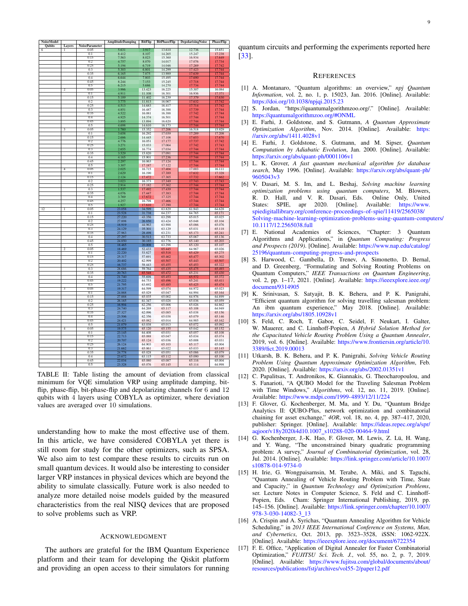<span id="page-8-17"></span>

| NoiseModel                      |                |                               | AmplitudeDamping        | BitFlip          | <b>BitPhaseFlip</b> | <b>DepolarisingNoise</b> | <b>PhaseFlip</b>        |
|---------------------------------|----------------|-------------------------------|-------------------------|------------------|---------------------|--------------------------|-------------------------|
| <b>Qubits</b><br>$\overline{6}$ | Layers<br>ī    | <b>NoiseParameter</b><br>0.05 | 5.631                   | 3.917            | 13.610              | 12.736                   | 15.651                  |
|                                 |                | 0.1                           | 8.412                   | 8.107            | 14.265              | 15.247                   | 17.238                  |
|                                 |                | 0.15                          | 7.563                   | 8.023            | 15.360              | 16.934                   | 17.649                  |
|                                 |                | 0.2                           | 4.757                   | 8.070            | 14.017              | 17.076                   | 17.734                  |
|                                 |                | 0.25                          | 5.194                   | 6.719            | 14.046              | 17.269                   | 17.742                  |
|                                 |                | 0.3                           | 5.303                   | 6.801            | 14.299              | 17.423                   | 17.744                  |
|                                 |                | 0.35                          | 6.165                   | 7.875            | 13.989              | 17.639                   | 17.744                  |
|                                 |                | 0.4                           | 6.644                   | 7.803            | 15.495              | 17.690                   | 17.744<br>17.744        |
|                                 |                | 0.45                          | 8.244                   | 7.153            | 15.245              | 17.718                   |                         |
|                                 |                | 0.5                           | 6.215                   | 5.686            | 14.270              | 17.734                   | 17.744                  |
|                                 | $\overline{2}$ | 0.05<br>0 <sub>1</sub>        | 3.986<br>4.911          | 13.423           | 16.225<br>16.301    | 15.307<br>16.936         | 16.084                  |
|                                 |                | 0.15                          | 5.189                   | 11.108<br>11.402 | 16.239              | 17.379                   | 17.371<br>17.630        |
|                                 |                | 0.2                           | 3.775                   | 11.813           | 16.067              | 17.632                   | 17.742                  |
|                                 |                | 0.25                          | 4.513                   | 14.683           | 16.417              | 17.714                   | 17.742                  |
|                                 |                | 0.3                           | 4.851                   | 16.487           | 16.388              | 17.739                   | 17.744                  |
|                                 |                | 0.35                          | 4.522                   | 16.081           | 16.388              | 17.742                   | 17.744                  |
|                                 |                | 0.4                           | 4.925                   | 14.374           | 16.501              |                          | 17.744                  |
|                                 |                | 0.45                          | 3.895                   | 13.894           | 16.620              | $\frac{17.744}{17.744}$  | 17.744                  |
|                                 |                | 0.5                           | 4.698                   | 14.610           | 16.173              | 17.744                   | 17.744                  |
|                                 |                | 0.05                          | 1.760                   | 15.352           | 17.206              | 16.518                   | 15.929                  |
|                                 |                | 0.1                           | 3.658                   | 16.292           | 17.039              | 17.289                   | 17.208                  |
|                                 |                | 0.15                          | 2.686                   | 14.445           | 17.108              | 17.653                   | 17.670                  |
|                                 |                | 0.2                           | 4.776                   | 16.051           | 17.177              | 17.737                   | 17.742                  |
|                                 |                | 0.25                          | 3.271                   | 15.033           | 17.064              | 17.742                   | 17.743                  |
|                                 |                | 0.3                           | 2.655                   | 16.774           | 17.034              | 17.744                   | 17.744                  |
|                                 |                | 0.35                          | 3.529                   | 15.820           | 17.091              | 17.744                   | 17.744                  |
|                                 |                | 0.4<br>0.45                   | 4.165<br>2.297          | 15.901<br>16.063 | 17.236<br>17.124    | 17.744<br>17.744         | 17.744<br>17.744        |
|                                 |                | 0.5                           | 3.307                   | 17.187           | 17.122              | 17.744                   | 17.744                  |
|                                 | $\overline{4}$ | 0.05                          | 2.025                   | 16.715           | 17.404              | 17.003                   | 16.111                  |
|                                 |                | 0.1                           | 2.629                   | 16.190           | 17.389              | 17.632                   | 17.328                  |
|                                 |                | 0.15                          | 2.124                   | 17.472           | 17.365              | 17.732                   | 17.662                  |
|                                 |                | 0.2                           | 3.023                   | 16.373           | 17.349              | 17.743                   | 17.743                  |
|                                 |                | 0.25                          | 2.914                   | 17.182           | 17.362              | $\frac{17.744}{17.744}$  | $\frac{17.744}{17.744}$ |
|                                 |                | 0.3                           | 1.537                   | 17492            | 17439               |                          |                         |
|                                 |                | 0.35                          | 4.076                   | 17.447           | 17.383              | 17.744                   | 17.744                  |
|                                 |                | 04                            | 3.769                   | 17.672           | 17.325              | 17.744                   | 17.744                  |
|                                 |                | 0.45                          | 4.257                   | 16.798           | 17.466              | 17.744                   | 17.744                  |
|                                 |                | 0.5                           | 1.927                   | 17.610           | 17.390              | 17.744                   | 17.744                  |
| $\overline{12}$                 | T              | 0.05                          | 23.058                  | 34.599           | 63.829              | 61.943                   | 64.628                  |
|                                 |                | 0.1                           | 23.528                  | 31.738           | 64.237              | 64.765                   | 65.171                  |
|                                 |                | 0.15<br>0.2                   | 27.220<br>27.898        | 43.356<br>26.850 | 63.298<br>63.424    | 65.015<br>65.048         | 65.025<br>65.104        |
|                                 |                | 0.25                          | 18.919                  | 44.963           | 63.988              | 65.086                   | 65.076                  |
|                                 |                | 0.3                           | 24.129                  | 35.301           | 63.129              | 65.031                   | 65.118                  |
|                                 |                | 0.35                          | 27.963                  | 28.498           | 63.231              | 65.173                   | 65.241                  |
|                                 |                | 0 <sub>4</sub>                | 27.297                  | 30.513           | 63.733              | 65.067                   | 65.136                  |
|                                 |                | 0.45                          | 24.850                  | 30.185           | 63.776              | 65.140                   | 65.203                  |
|                                 |                | 0.5                           | 18.465                  | 20.008           | 63.298              | 65.120                   | 65.107                  |
|                                 | $\overline{2}$ | 0.05                          | 18.469                  | 52.433           | 65.445              | 64.967                   | 65.026                  |
|                                 |                | 0.1                           | 22.220                  | 53.827           | 65.518              | 65.429                   | 65.275                  |
|                                 |                | 0.15                          | $\frac{25.317}{25.317}$ | 57.691           | 65.462              | 65.477                   | 65.302                  |
|                                 |                | 0.2                           | 20.402                  | 62.999           | 65.507              | 65.443                   | 65.507                  |
|                                 |                | 0.25                          | 16.737                  | 58.443           | 65.455              | 65.453                   | 65.322                  |
|                                 |                | 0.3                           | 28.686                  | 59.764           | 65.435              | 65.475                   | 65.493                  |
|                                 |                | 0.35                          | 20.763                  | 65.548           | 65.472              | 65.231                   | 65.430                  |
|                                 |                | 0.4                           | 21.740<br>19.222        | 55.698           | 65.453<br>65.496    | 65.572                   | 65.372                  |
|                                 |                | 0.45<br>0.5                   | 21.795                  | 64.753<br>63.692 | 65.485              | 65.241<br>65.425         | 65.411<br>65.474        |
|                                 | 3              | 0.05                          | 19.317                  | 64.599           | 65.074              | 64 972                   | 65.023                  |
|                                 |                | 0 <sub>1</sub>                | 24.868                  | 65.029           | 65.047              | 64.994                   | 65.164                  |
|                                 |                | 0.15                          | 27.888                  | 65.035           | 65.002              | 64.976                   | 64.899                  |
|                                 |                | 0.2                           | 26.165                  | 61.347           | 65.028              | 65.036                   | 65.059                  |
|                                 |                | 0.25                          | 16.904                  | 62.256           | 65.006              | 65.026                   | 64.862                  |
|                                 |                | 0.3                           | 24.740                  | 64.269           | 65.117              | 65.108                   | 64.949                  |
|                                 |                | 0.35                          | 27.327                  | 62.096           | 65.085              | 65.038                   | 65.156                  |
|                                 |                | 0.4                           | 23.506                  | 62.356           | 65.038              | 65.079                   | 65.146                  |
|                                 |                | 0.45                          | 24.421                  | 65.082           | 65.014              | 64.985                   | 65.162                  |
|                                 |                | 0.5                           | 21.079                  | 63.038           | 65.013              | 65.072                   | 65.092                  |
|                                 | $\overline{4}$ | 0.05                          | 19.575                  | 65.120           | 65.155              | 65,042                   | 65.152                  |
|                                 |                | 0 <sub>1</sub>                | 23.145                  | 64 408           | 65.031              | 65.057                   | 65.108                  |
|                                 |                | 0.15                          | 22.713                  | 65.088           | 65.047              | 65.034                   | 65.074                  |
|                                 |                | 0.2                           | 20.707                  | 65.124           | 65.036              | 65.008                   | 65.031                  |
|                                 |                | 0.25                          | 26.124                  | 64.903           | 65.103              | 65.117                   | 65.004                  |
|                                 |                | 0.3                           | 21.662                  | 65.061           | 65.022              | 65.033                   | 65.145                  |
|                                 |                |                               |                         |                  |                     |                          |                         |
|                                 |                | 0.35                          | 24.778                  | 65.028           | 65.051              | 65.086                   | 65.079                  |
|                                 |                | 0.4<br>0.45                   | 23.672<br>22.034        | 63.115<br>65.080 | 65.112<br>65.087    | 65.090<br>65.116         | 65.100<br>65.004        |

TABLE II: Table listing the amount of deviation from classical minimum for VQE simulation VRP using amplitude damping, bitflip, phase-flip, bit-phase-flip and depolarizing channels for  $6$  and  $12$ qubits with 4 layers using COBYLA as optimizer, where deviation values are averaged over 10 simulations.

understanding how to make the most effective use of them. In this article, we have considered COBYLA yet there is still room for study for the other optimizers, such as SPSA. We also aim to test compare these results to circuits run on small quantum devices. It would also be interesting to consider larger VRP instances in physical devices which are beyond the ability to simulate classically. Future work is also needed to analyze more detailed noise models guided by the measured characteristics from the real NISQ devices that are proposed to solve problems such as VRP.

#### ACKNOWLEDGMENT

The authors are grateful for the IBM Quantum Experience platform and their team for developing the Qiskit platform and providing an open access to their simulators for running quantum circuits and performing the experiments reported here [\[33\]](#page-9-15).

# **REFERENCES**

- <span id="page-8-0"></span>[1] A. Montanaro, "Quantum algorithms: an overview," *npj Quantum Information*, vol. 2, no. 1, p. 15023, Jan. 2016. [Online]. Available: <https://doi.org/10.1038/npjqi.2015.23>
- <span id="page-8-1"></span>[2] S. Jordan, "https://quantumalgorithmzoo.org/." [Online]. Available: <https://quantumalgorithmzoo.org/#ONML>
- <span id="page-8-2"></span>[3] E. Farhi, J. Goldstone, and S. Gutmann, *A Quantum Approximate Optimization Algorithm*, Nov. 2014. [Online]. Available: [https:](https://arxiv.org/abs/1411.4028v1) [//arxiv.org/abs/1411.4028v1](https://arxiv.org/abs/1411.4028v1)
- <span id="page-8-3"></span>[4] E. Farhi, J. Goldstone, S. Gutmann, and M. Sipser, *Quantum Computation by Adiabatic Evolution*, Jan. 2000. [Online]. Available: <https://arxiv.org/abs/quant-ph/0001106v1>
- <span id="page-8-4"></span>[5] L. K. Grover, *A fast quantum mechanical algorithm for database search*, May 1996. [Online]. Available: [https://arxiv.org/abs/quant-ph/](https://arxiv.org/abs/quant-ph/9605043v3) [9605043v3](https://arxiv.org/abs/quant-ph/9605043v3)
- <span id="page-8-5"></span>[6] V. Dasari, M. S. Im, and L. Beshaj, *Solving machine learning optimization problems using quantum computers*, M. Blowers, R. D. Hall, and V. R. Dasari, Eds. Online Only, United States: SPIE, apr 2020. [Online]. Available: [https://www.](https://www.spiedigitallibrary.org/conference-proceedings-of-spie/11419/2565038/Solving-machine-learning-optimization-problems-using-quantum-computers/10.1117/12.2565038.full) [spiedigitallibrary.org/conference-proceedings-of-spie/11419/2565038/](https://www.spiedigitallibrary.org/conference-proceedings-of-spie/11419/2565038/Solving-machine-learning-optimization-problems-using-quantum-computers/10.1117/12.2565038.full) [Solving-machine-learning-optimization-problems-using-quantum-compu](https://www.spiedigitallibrary.org/conference-proceedings-of-spie/11419/2565038/Solving-machine-learning-optimization-problems-using-quantum-computers/10.1117/12.2565038.full)ters/ [10.1117/12.2565038.full](https://www.spiedigitallibrary.org/conference-proceedings-of-spie/11419/2565038/Solving-machine-learning-optimization-problems-using-quantum-computers/10.1117/12.2565038.full)
- <span id="page-8-6"></span>[7] E. National Academies of Sciences, "Chapter: 3 Quantum Algorithms and Applications," in *Quantum Computing: Progress and Prospects (2019)*. [Online]. Available: [https://www.nap.edu/catalog/](https://www.nap.edu/catalog/25196/quantum-computing-progress-and-prospects) [25196/quantum-computing-progress-and-prospects](https://www.nap.edu/catalog/25196/quantum-computing-progress-and-prospects)
- <span id="page-8-7"></span>[8] S. Harwood, C. Gambella, D. Trenev, A. Simonetto, D. Bernal, and D. Greenberg, "Formulating and Solving Routing Problems on Quantum Computers," *IEEE Transactions on Quantum Engineering*, vol. 2, pp. 1-17, 2021. [Online]. Available: [https://ieeexplore.ieee.org/](https://ieeexplore.ieee.org/document/9314905) [document/9314905](https://ieeexplore.ieee.org/document/9314905)
- <span id="page-8-8"></span>[9] K. Srinivasan, S. Satyajit, B. K. Behera, and P. K. Panigrahi, "Efficient quantum algorithm for solving travelling salesman problem: An ibm quantum experience," May 2018. [Online]. Available: <https://arxiv.org/abs/1805.10928v1>
- <span id="page-8-9"></span>[10] S. Feld, C. Roch, T. Gabor, C. Seidel, F. Neukart, I. Galter, W. Mauerer, and C. Linnhoff-Popien, *A Hybrid Solution Method for the Capacitated Vehicle Routing Problem Using a Quantum Annealer*, 2019, vol. 6. [Online]. Available: [https://www.frontiersin.org/article/10.](https://www.frontiersin.org/article/10.3389/fict.2019.00013) [3389/fict.2019.00013](https://www.frontiersin.org/article/10.3389/fict.2019.00013)
- <span id="page-8-10"></span>[11] Utkarsh, B. K. Behera, and P. K. Panigrahi, *Solving Vehicle Routing Problem Using Quantum Approximate Optimization Algorithm*, Feb. 2020. [Online]. Available: <https://arxiv.org/abs/2002.01351v1>
- <span id="page-8-11"></span>[12] C. Papalitsas, T. Andronikos, K. Giannakis, G. Theocharopoulou, and S. Fanarioti, "A QUBO Model for the Traveling Salesman Problem with Time Windows," *Algorithms*, vol. 12, no. 11, 2019. [Online]. Available: <https://www.mdpi.com/1999-4893/12/11/224>
- <span id="page-8-12"></span>[13] F. Glover, G. Kochenberger, M. Ma, and Y. Du, "Quantum Bridge Analytics II: QUBO-Plus, network optimization and combinatorial chaining for asset exchange," *4OR*, vol. 18, no. 4, pp. 387–417, 2020, publisher: Springer. [Online]. Available: [https://ideas.repec.org/a/spr/](https://ideas.repec.org/a/spr/aqjoor/v18y2020i4d10.1007_s10288-020-00464-9.html) [aqjoor/v18y2020i4d10.1007](https://ideas.repec.org/a/spr/aqjoor/v18y2020i4d10.1007_s10288-020-00464-9.html)\_s10288-020-00464-9.html
- <span id="page-8-13"></span>[14] G. Kochenberger, J.-K. Hao, F. Glover, M. Lewis, Z. Lü, H. Wang, and Y. Wang, "The unconstrained binary quadratic programming problem: A survey," *Journal of Combinatorial Optimization*, vol. 28, Jul. 2014. [Online]. Available: [https://link.springer.com/article/10.1007/](https://link.springer.com/article/10.1007/s10878-014-9734-0) [s10878-014-9734-0](https://link.springer.com/article/10.1007/s10878-014-9734-0)
- <span id="page-8-14"></span>[15] H. Irie, G. Wongpaisarnsin, M. Terabe, A. Miki, and S. Taguchi, "Quantum Annealing of Vehicle Routing Problem with Time, State and Capacity," in *Quantum Technology and Optimization Problems*, ser. Lecture Notes in Computer Science, S. Feld and C. Linnhoff-Popien, Eds. Cham: Springer International Publishing, 2019, pp. 145–156. [Online]. Available: [https://link.springer.com/chapter/10.1007/](https://link.springer.com/chapter/10.1007/978-3-030-14082-3_13) [978-3-030-14082-3](https://link.springer.com/chapter/10.1007/978-3-030-14082-3_13) 13
- <span id="page-8-15"></span>[16] A. Crispin and A. Syrichas, "Quantum Annealing Algorithm for Vehicle Scheduling," in *2013 IEEE International Conference on Systems, Man, and Cybernetics*, Oct. 2013, pp. 3523–3528, iSSN: 1062-922X. [Online]. Available: <https://ieeexplore.ieee.org/document/6722354>
- <span id="page-8-16"></span>[17] F. E. Office, "Application of Digital Annealer for Faster Combinatorial Optimization," *FUJITSU Sci. Tech. J.*, vol. 55, no. 2, p. 7, 2019. [Online]. Available: [https://www.fujitsu.com/global/documents/about/](https://www.fujitsu.com/global/documents/about/resources/publications/fstj/archives/vol55-2/paper12.pdf) [resources/publications/fstj/archives/vol55-2/paper12.pdf](https://www.fujitsu.com/global/documents/about/resources/publications/fstj/archives/vol55-2/paper12.pdf)